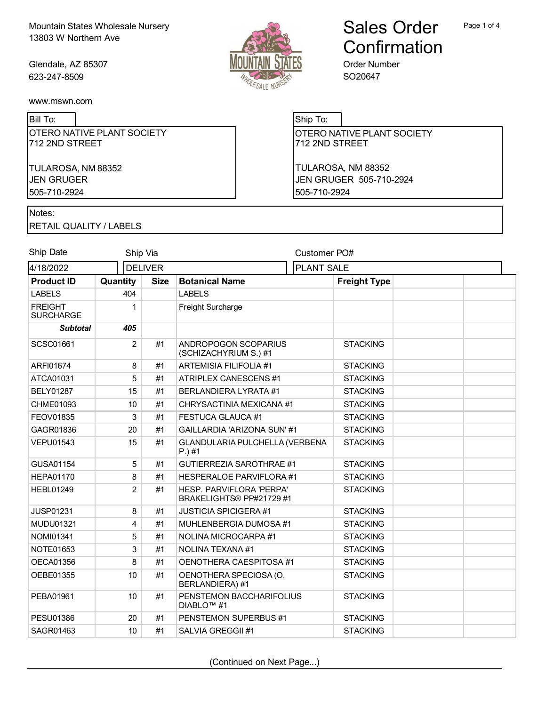Glendale, AZ 85307 623-247-8509



Bill To:

|                | OTERO NATIVE PLANT SOCIETY |  |
|----------------|----------------------------|--|
| 712 2ND STREET |                            |  |

TULAROSA, NM 88352 JEN GRUGER 505-710-2924

# Ship To:

OTERO NATIVE PLANT SOCIETY 712 2ND STREET

Order Number SO20647

Sales Order

**Confirmation** 

TULAROSA, NM 88352 JEN GRUGER 505-710-2924 505-710-2924

### Notes:

RETAIL QUALITY / LABELS

| Ship Date                          | Ship Via       |             |                                                      | Customer PO#        |  |
|------------------------------------|----------------|-------------|------------------------------------------------------|---------------------|--|
| 4/18/2022<br><b>DELIVER</b>        |                |             | <b>PLANT SALE</b>                                    |                     |  |
| <b>Product ID</b>                  | Quantity       | <b>Size</b> | <b>Botanical Name</b>                                | <b>Freight Type</b> |  |
| <b>LABELS</b>                      | 404            |             | <b>LABELS</b>                                        |                     |  |
| <b>FREIGHT</b><br><b>SURCHARGE</b> | 1              |             | Freight Surcharge                                    |                     |  |
| <b>Subtotal</b>                    | 405            |             |                                                      |                     |  |
| <b>SCSC01661</b>                   | $\overline{2}$ | #1          | ANDROPOGON SCOPARIUS<br>(SCHIZACHYRIUM S.) #1        | <b>STACKING</b>     |  |
| ARFI01674                          | 8              | #1          | <b>ARTEMISIA FILIFOLIA #1</b>                        | <b>STACKING</b>     |  |
| ATCA01031                          | 5              | #1          | <b>ATRIPLEX CANESCENS #1</b>                         | <b>STACKING</b>     |  |
| <b>BELY01287</b>                   | 15             | #1          | <b>BERLANDIERA LYRATA #1</b>                         | <b>STACKING</b>     |  |
| CHME01093                          | 10             | #1          | CHRYSACTINIA MEXICANA #1                             | <b>STACKING</b>     |  |
| FEOV01835                          | 3              | #1          | <b>FESTUCA GLAUCA #1</b>                             | <b>STACKING</b>     |  |
| GAGR01836                          | 20             | #1          | GAILLARDIA 'ARIZONA SUN' #1                          | <b>STACKING</b>     |  |
| <b>VEPU01543</b>                   | 15             | #1          | GLANDULARIA PULCHELLA (VERBENA<br>$P.$ )#1           | <b>STACKING</b>     |  |
| GUSA01154                          | 5              | #1          | <b>GUTIERREZIA SAROTHRAE #1</b>                      | <b>STACKING</b>     |  |
| <b>HEPA01170</b>                   | 8              | #1          | HESPERALOE PARVIFLORA #1                             | <b>STACKING</b>     |  |
| <b>HEBL01249</b>                   | $\overline{2}$ | #1          | HESP. PARVIFLORA 'PERPA'<br>BRAKELIGHTS® PP#21729 #1 | <b>STACKING</b>     |  |
| <b>JUSP01231</b>                   | 8              | #1          | <b>JUSTICIA SPICIGERA #1</b>                         | <b>STACKING</b>     |  |
| <b>MUDU01321</b>                   | 4              | #1          | MUHLENBERGIA DUMOSA #1                               | <b>STACKING</b>     |  |
| NOMI01341                          | 5              | #1          | NOLINA MICROCARPA #1                                 | <b>STACKING</b>     |  |
| NOTE01653                          | 3              | #1          | NOLINA TEXANA #1                                     | <b>STACKING</b>     |  |
| OECA01356                          | 8              | #1          | OENOTHERA CAESPITOSA #1                              | <b>STACKING</b>     |  |
| OEBE01355                          | 10             | #1          | OENOTHERA SPECIOSA (O.<br>BERLANDIERA) #1            | <b>STACKING</b>     |  |
| PEBA01961                          | 10             | #1          | PENSTEMON BACCHARIFOLIUS<br>DIABLO <sup>™</sup> #1   | <b>STACKING</b>     |  |
| <b>PESU01386</b>                   | 20             | #1          | PENSTEMON SUPERBUS #1                                | <b>STACKING</b>     |  |
| SAGR01463                          | 10             | #1          | SALVIA GREGGII #1                                    | <b>STACKING</b>     |  |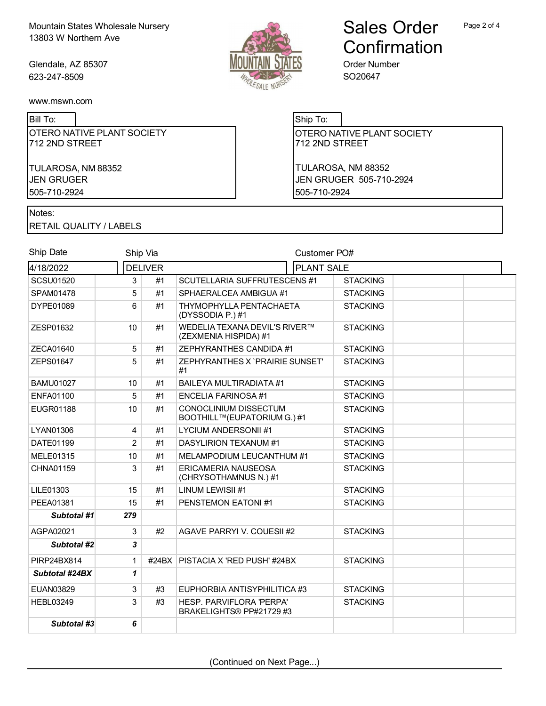Glendale, AZ 85307 623-247-8509



# Sales Order **Confirmation**

Order Number SO20647

[www.mswn.com](http://www.mswn.com/)

Bill To:

OTERO NATIVE PLANT SOCIETY 712 2ND STREET

TULAROSA, NM 88352 JEN GRUGER 505-710-2924

## Ship To:

OTERO NATIVE PLANT SOCIETY 712 2ND STREET

TULAROSA, NM 88352 JEN GRUGER 505-710-2924 505-710-2924

Notes:

RETAIL QUALITY / LABELS

| Ship Date          |                | Ship Via       |                                                        | Customer PO#    |  |  |
|--------------------|----------------|----------------|--------------------------------------------------------|-----------------|--|--|
| 4/18/2022          |                | <b>DELIVER</b> | <b>PLANT SALE</b>                                      |                 |  |  |
| <b>SCSU01520</b>   | 3              | #1             | <b>SCUTELLARIA SUFFRUTESCENS #1</b>                    | <b>STACKING</b> |  |  |
| SPAM01478          | 5              | #1             | SPHAERALCEA AMBIGUA #1                                 | <b>STACKING</b> |  |  |
| DYPE01089          | 6              | #1             | THYMOPHYLLA PENTACHAETA<br>(DYSSODIA P.) #1            | <b>STACKING</b> |  |  |
| ZESP01632          | 10             | #1             | WEDELIA TEXANA DEVIL'S RIVER™<br>(ZEXMENIA HISPIDA) #1 | <b>STACKING</b> |  |  |
| ZECA01640          | 5              | #1             | ZEPHYRANTHES CANDIDA #1                                | <b>STACKING</b> |  |  |
| ZEPS01647          | 5              | #1             | ZEPHYRANTHES X `PRAIRIE SUNSET'<br>#1                  | <b>STACKING</b> |  |  |
| <b>BAMU01027</b>   | 10             | #1             | <b>BAILEYA MULTIRADIATA #1</b>                         | <b>STACKING</b> |  |  |
| <b>ENFA01100</b>   | 5              | #1             | <b>ENCELIA FARINOSA #1</b>                             | <b>STACKING</b> |  |  |
| EUGR01188          | 10             | #1             | CONOCLINIUM DISSECTUM<br>BOOTHILL™(EUPATORIUM G.) #1   | <b>STACKING</b> |  |  |
| LYAN01306          | $\overline{4}$ | #1             | <b>LYCIUM ANDERSONII #1</b>                            | <b>STACKING</b> |  |  |
| DATF01199          | $\overline{2}$ | #1             | <b>DASYLIRION TEXANUM #1</b>                           | <b>STACKING</b> |  |  |
| MELE01315          | 10             | #1             | MELAMPODIUM LEUCANTHUM #1                              | <b>STACKING</b> |  |  |
| CHNA01159          | 3              | #1             | ERICAMERIA NAUSEOSA<br>(CHRYSOTHAMNUS N.) #1           | <b>STACKING</b> |  |  |
| LILE01303          | 15             | #1             | LINUM LEWISII #1                                       | <b>STACKING</b> |  |  |
| PEEA01381          | 15             | #1             | PENSTEMON EATONI#1                                     | <b>STACKING</b> |  |  |
| <b>Subtotal #1</b> | 279            |                |                                                        |                 |  |  |
| AGPA02021          | 3              | #2             | AGAVE PARRYI V. COUESII #2                             | <b>STACKING</b> |  |  |
| Subtotal #2        | 3              |                |                                                        |                 |  |  |
| PIRP24BX814        | $\mathbf{1}$   | #24BX          | <b>PISTACIA X 'RED PUSH' #24BX</b>                     | <b>STACKING</b> |  |  |
| Subtotal #24BX     | 1              |                |                                                        |                 |  |  |
| EUAN03829          | $\sqrt{3}$     | #3             | EUPHORBIA ANTISYPHILITICA #3                           | <b>STACKING</b> |  |  |
| <b>HEBL03249</b>   | $\mathbf{3}$   | #3             | HESP. PARVIFLORA 'PERPA'<br>BRAKELIGHTS® PP#21729 #3   | <b>STACKING</b> |  |  |
| Subtotal #3        | 6              |                |                                                        |                 |  |  |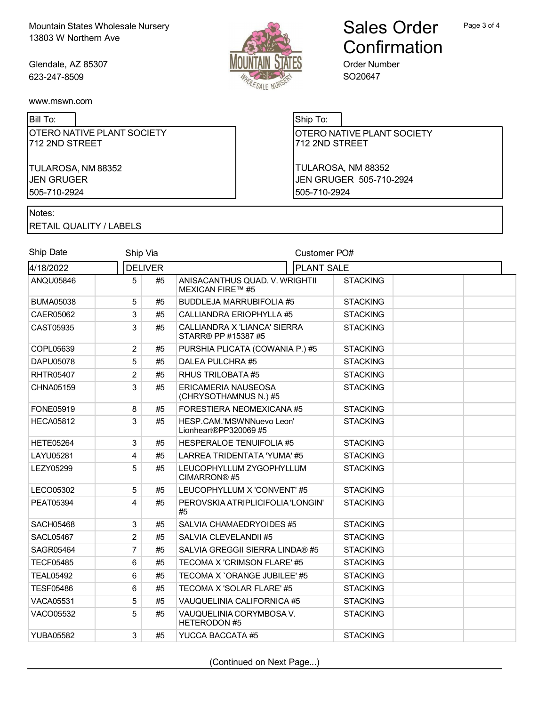Glendale, AZ 85307 623-247-8509



Bill To:

OTERO NATIVE PLANT SOCIETY 712 2ND STREET

TULAROSA, NM 88352 JEN GRUGER 505-710-2924

#### Notes:

RETAIL QUALITY / LABELS

#### Ship Date Ship Via Customer PO# 4/18/2022 DELIVER PLANT SALE ANQU05846 5 #5 ANISACANTHUS QUAD. V. WRIGHTII MEXICAN FIRE™ #5 **STACKING** BUMA05038 5 #5 BUDDLEJA MARRUBIFOLIA #5 STACKING CAER05062 3 #5 CALLIANDRA ERIOPHYLLA #5 STACKING CAST05935 3 #5 CALLIANDRA X 'LIANCA' SIERRA STARR® PP #15387 #5 **STACKING** COPL05639 2 #5 PURSHIA PLICATA (COWANIA P.) #5 STACKING DAPU05078 5 #5 DALEA PULCHRA #5 STACKING RHTR05407 2 #5 RHUS TRILOBATA #5 STACKING CHNA05159 3 #5 ERICAMERIA NAUSEOSA (CHRYSOTHAMNUS N.) #5 **STACKING** FONE05919 8 #5 FORESTIERA NEOMEXICANA #5 STACKING HECA05812 | 3 #5 HESP.CAM.'MSWNNuevo Leon' Lionheart®PP320069 #5 **STACKING** HETE05264 3 #5 HESPERALOE TENUIFOLIA #5 STACKING LAYU05281 4 #5 LARREA TRIDENTATA 'YUMA' #5 STACKING LEZY05299 5 #5 LEUCOPHYLLUM ZYGOPHYLLUM CIMARRON® #5 **STACKING** LECO05302 5 #5 LEUCOPHYLLUM X 'CONVENT' #5 STACKING PEAT05394 4 #5 PEROVSKIA ATRIPLICIFOLIA 'LONGIN' #5 **STACKING** SACH05468 3 #5 SALVIA CHAMAEDRYOIDES #5 STACKING SACL05467 2 #5 SALVIA CLEVELANDII #5 STACKING SAGR05464 7 #5 SALVIA GREGGII SIERRA LINDA® #5 STACKING TECF05485 6 #5 TECOMA X 'CRIMSON FLARE' #5 STACKING TEAL05492 6 #5 TECOMA X `ORANGE JUBILEE' #5 STACKING TESF05486 6 #5 TECOMA X 'SOLAR FLARE' #5 STACKING VACA05531 5 #5 VAUQUELINIA CALIFORNICA #5 STACKING VACO05532 | 5 #5 VAUQUELINIA CORYMBOSA V. HETERODON #5 **STACKING** YUBA05582 3 #5 YUCCA BACCATA #5 STACKING

Ship To:

OTERO NATIVE PLANT SOCIETY 712 2ND STREET

Order Number SO20647

TULAROSA, NM 88352 JEN GRUGER 505-710-2924 505-710-2924

(Continued on Next Page...)

Sales Order Confirmation

Page 3 of 4